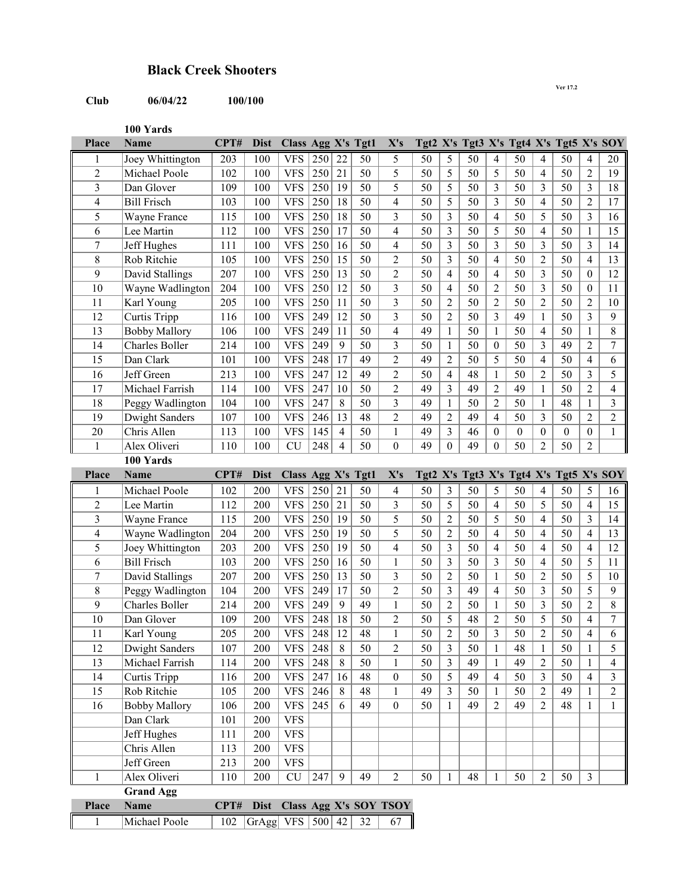## **Black Creek Shooters**

## **Club 06/04/22 100/100**

**Ver 17.2**

**100 Yards**

| Place                   | <b>Name</b>                  | CPT#        | <b>Dist</b>                       | Class Agg X's Tgt1 |     |                |                 | X's                          |            |                         |             |                          | Tgt2 X's Tgt3 X's Tgt4 X's Tgt5 X's SOY |                |                  |                |                |
|-------------------------|------------------------------|-------------|-----------------------------------|--------------------|-----|----------------|-----------------|------------------------------|------------|-------------------------|-------------|--------------------------|-----------------------------------------|----------------|------------------|----------------|----------------|
| 1                       | Joey Whittington             | 203         | 100                               | <b>VFS</b>         | 250 | 22             | 50              | 5                            | 50         | 5                       | 50          | 4                        | 50                                      | 4              | 50               | 4              | 20             |
| $\overline{c}$          | Michael Poole                | 102         | 100                               | <b>VFS</b>         | 250 | 21             | 50              | 5                            | 50         | 5                       | 50          | 5                        | 50                                      | 4              | 50               | 2              | 19             |
| $\overline{\mathbf{3}}$ | Dan Glover                   | 109         | 100                               | <b>VFS</b>         | 250 | 19             | 50              | 5                            | 50         | 5                       | 50          | 3                        | 50                                      | 3              | 50               | 3              | 18             |
| $\overline{\mathbf{4}}$ | <b>Bill Frisch</b>           | 103         | 100                               | <b>VFS</b>         | 250 | 18             | 50              | $\overline{\mathbf{4}}$      | 50         | 5                       | 50          | 3                        | 50                                      | 4              | 50               | $\overline{2}$ | 17             |
| 5                       | Wayne France                 | 115         | 100                               | <b>VFS</b>         | 250 | 18             | 50              | $\overline{\mathbf{3}}$      | 50         | 3                       | 50          | 4                        | 50                                      | 5              | 50               | 3              | 16             |
| 6                       | Lee Martin                   | 112         | 100                               | <b>VFS</b>         | 250 | 17             | 50              | $\overline{4}$               | 50         | 3                       | 50          | 5                        | 50                                      | 4              | 50               | 1              | 15             |
| $\tau$                  | Jeff Hughes                  | 111         | 100                               | <b>VFS</b>         | 250 | 16             | $\overline{50}$ | 4                            | 50         | $\overline{\mathbf{3}}$ | 50          | 3                        | 50                                      | 3              | 50               | 3              | 14             |
| $\,8\,$                 | Rob Ritchie                  | 105         | 100                               | <b>VFS</b>         | 250 | 15             | $\overline{50}$ | $\overline{c}$               | 50         | 3                       | 50          | $\overline{\mathcal{L}}$ | 50                                      | $\overline{c}$ | 50               | 4              | 13             |
| 9                       | David Stallings              | 207         | 100                               | <b>VFS</b>         | 250 | 13             | 50              | $\overline{2}$               | 50         | 4                       | 50          | 4                        | 50                                      | 3              | 50               | $\theta$       | 12             |
| 10                      | Wayne Wadlington             | 204         | 100                               | <b>VFS</b>         | 250 | 12             | 50              | 3                            | 50         | 4                       | 50          | $\overline{c}$           | 50                                      | 3              | 50               | $\theta$       | 11             |
| 11                      | Karl Young                   | 205         | 100                               | <b>VFS</b>         | 250 | 11             | $\overline{50}$ | 3                            | 50         | 2                       | 50          | $\overline{c}$           | 50                                      | $\overline{2}$ | $\overline{50}$  | $\overline{2}$ | 10             |
| 12                      | Curtis Tripp                 | 116         | 100                               | <b>VFS</b>         | 249 | 12             | 50              | $\overline{\mathbf{3}}$      | 50         | 2                       | 50          | 3                        | 49                                      | $\mathbf{1}$   | 50               | 3              | 9              |
| 13                      | <b>Bobby Mallory</b>         | 106         | 100                               | <b>VFS</b>         | 249 | 11             | 50              | $\overline{\mathbf{4}}$      | 49         | $\mathbf{1}$            | 50          | $\mathbf{1}$             | 50                                      | 4              | 50               | $\mathbf{1}$   | $\,8\,$        |
| 14                      | Charles Boller               | 214         | 100                               | <b>VFS</b>         | 249 | 9              | 50              | $\overline{\mathbf{3}}$      | 50         | $\mathbf{1}$            | 50          | $\boldsymbol{0}$         | 50                                      | 3              | 49               | $\overline{2}$ | $\tau$         |
| 15                      | Dan Clark                    | 101         | 100                               | <b>VFS</b>         | 248 | 17             | 49              | $\overline{2}$               | 49         | $\overline{2}$          | 50          | 5                        | 50                                      | 4              | 50               | 4              | 6              |
| 16                      | Jeff Green                   | 213         | 100                               | <b>VFS</b>         | 247 | 12             | 49              | $\overline{c}$               | 50         | 4                       | 48          | $\mathbf{1}$             | 50                                      | $\overline{2}$ | 50               | 3              | 5              |
| 17                      | Michael Farrish              | 114         | 100                               | <b>VFS</b>         | 247 | 10             | 50              | $\overline{2}$               | 49         | 3                       | 49          | $\overline{2}$           | 49                                      | 1              | 50               | $\overline{2}$ | 4              |
| 18                      | Peggy Wadlington             | 104         | 100                               | <b>VFS</b>         | 247 | 8              | 50              | 3                            | 49         | 1                       | 50          | $\overline{c}$           | 50                                      | 1              | 48               | 1              | 3              |
| 19                      | Dwight Sanders               | 107         | 100                               | <b>VFS</b>         | 246 | 13             | 48              | $\overline{c}$               | 49         | 2                       | 49          | 4                        | 50                                      | 3              | 50               | 2              | $\overline{2}$ |
| 20                      | Chris Allen                  | 113         | 100                               | <b>VFS</b>         | 145 | $\overline{4}$ | 50              | $\mathbf{1}$                 | 49         | 3                       | 46          | $\theta$                 | $\boldsymbol{0}$                        | $\overline{0}$ | $\boldsymbol{0}$ | $\theta$       | $\mathbf{1}$   |
| $\mathbf{1}$            | Alex Oliveri                 | 110         | 100                               | <b>CU</b>          | 248 | $\overline{4}$ | 50              | $\boldsymbol{0}$             | 49         | $\boldsymbol{0}$        | 49          | $\boldsymbol{0}$         | 50                                      | $\overline{2}$ | 50               | 2              |                |
|                         | 100 Yards                    |             |                                   |                    |     |                |                 |                              |            |                         |             |                          |                                         |                |                  |                |                |
| Place                   | Name                         | CPT#        | <b>Dist</b>                       | Class Agg X's      |     |                | Tgt1            | X's                          | Tgt2 $X's$ |                         | Tgt $3$ X's |                          | Tgt4 X's Tgt5 X's SOY                   |                |                  |                |                |
| 1                       | Michael Poole                | 102         | 200                               | <b>VFS</b>         | 250 | 21             | 50              | 4                            | 50         | 3                       | 50          | 5                        | 50                                      | 4              | 50               | 5              | 16             |
| $\overline{c}$          | Lee Martin                   | 112         | 200                               | <b>VFS</b>         | 250 | 21             | 50              | 3                            | 50         | 5                       | 50          | 4                        | 50                                      | 5              | 50               | 4              | 15             |
| 3                       | Wayne France                 | 115         | 200                               | <b>VFS</b>         | 250 | 19             | $\overline{50}$ | 5                            | 50         | $\overline{c}$          | 50          | 5                        | 50                                      | 4              | 50               | 3              | 14             |
| $\overline{\mathbf{4}}$ | Wayne Wadlington             | 204         | 200                               | <b>VFS</b>         | 250 | 19             | 50              | 5                            | 50         | $\overline{c}$          | 50          | 4                        | 50                                      | 4              | 50               | 4              | 13             |
| 5                       | Joey Whittington             | 203         |                                   |                    |     |                |                 |                              |            | $\overline{\mathbf{3}}$ |             |                          |                                         |                |                  | 4              | 12             |
| 6                       |                              |             | 200                               | <b>VFS</b>         | 250 | 19             | 50              | 4                            | 50         |                         | 50          | 4                        | 50                                      | 4              | 50               |                |                |
| 7                       | <b>Bill Frisch</b>           | 103         | 200                               | <b>VFS</b>         | 250 | 16             | 50              | $\mathbf{1}$                 | 50         | $\overline{3}$          | 50          | 3                        | 50                                      | 4              | 50               | 5              | 11             |
|                         | David Stallings              | 207         | 200                               | <b>VFS</b>         | 250 | 13             | 50              | 3                            | 50         | 2                       | 50          | $\mathbf{1}$             | 50                                      | 2              | 50               | 5              | 10             |
| $\,$ 8 $\,$             | Peggy Wadlington             | 104         | 200                               | <b>VFS</b>         | 249 | 17             | 50              | $\overline{c}$               | 50         | 3                       | 49          | 4                        | 50                                      | 3              | 50               | 5              | 9              |
| 9                       | Charles Boller               | 214         | 200                               | <b>VFS</b>         | 249 | 9              | 49              | $\mathbf{1}$                 | 50         | $\overline{c}$          | 50          | $\mathbf{1}$             | 50                                      | 3              | 50               | $\overline{2}$ | $\,8\,$        |
| 10                      | Dan Glover                   | 109         | 200                               | <b>VFS</b>         | 248 | 18             | 50              | $\overline{c}$               | 50         | 5                       | 48          | $\overline{2}$           | 50                                      | 5              | 50               | 4              | $\tau$         |
| 11                      | Karl Young                   | 205         | 200                               | <b>VFS</b>         | 248 | 12             | 48              | $\mathbf{1}$                 | 50         | 2                       | 50          | 3                        | 50                                      | 2              | 50               | 4              | 6              |
| 12                      | Dwight Sanders               | 107         | 200                               | <b>VFS</b>   248   |     | 8              | 50              | $\overline{c}$               | 50         | 3                       | 50          | 1                        | 48                                      | 1              | 50               | 1              | 5              |
| 13                      | Michael Farrish              | 114         | 200                               | <b>VFS</b>         | 248 | $\,8\,$        | 50              | $\mathbf{1}$                 | 50         | $\overline{\mathbf{3}}$ | 49          | $\mathbf{1}$             | 49                                      | $\overline{c}$ | 50               | $\mathbf{1}$   | $\overline{4}$ |
| 14                      | Curtis Tripp                 | 116         | 200                               | VFS                | 247 | 16             | 48              | $\boldsymbol{0}$             | 50         | 5                       | 49          | $\overline{4}$           | 50                                      | 3              | 50               | 4              | $\overline{3}$ |
| 15                      | Rob Ritchie                  | 105         | 200                               | VFS                | 246 | $8\,$          | 48              | $\mathbf{1}$                 | 49         | $\overline{3}$          | 50          | $\mathbf{1}$             | 50                                      | 2              | 49               | 1              | $\overline{c}$ |
| 16                      | <b>Bobby Mallory</b>         | 106         | 200                               | VFS                | 245 | 6              | 49              | $\boldsymbol{0}$             | 50         | $\mathbf{1}$            | 49          | $\overline{2}$           | 49                                      | 2              | 48               | $\mathbf{1}$   | $\mathbf{1}$   |
|                         | Dan Clark                    | 101         | 200                               | <b>VFS</b>         |     |                |                 |                              |            |                         |             |                          |                                         |                |                  |                |                |
|                         | Jeff Hughes                  | 111         | 200                               | <b>VFS</b>         |     |                |                 |                              |            |                         |             |                          |                                         |                |                  |                |                |
|                         | Chris Allen                  | 113         | 200                               | <b>VFS</b>         |     |                |                 |                              |            |                         |             |                          |                                         |                |                  |                |                |
|                         | Jeff Green                   | 213         | 200                               | <b>VFS</b>         |     |                |                 |                              |            |                         |             |                          |                                         |                |                  |                |                |
| 1                       | Alex Oliveri                 | 110         | 200                               | ${\rm CU}$         | 247 | 9              | 49              | $\overline{2}$               | 50         | $\mathbf{1}$            | 48          | $\mathbf{1}$             | 50                                      | 2              | 50               | $\mathfrak{Z}$ |                |
|                         | <b>Grand Agg</b>             |             |                                   |                    |     |                |                 |                              |            |                         |             |                          |                                         |                |                  |                |                |
| Place<br>$\mathbf{1}$   | <b>Name</b><br>Michael Poole | CPT#<br>102 | <b>Dist</b><br>GrAgg VFS $500$ 42 |                    |     |                | 32              | Class Agg X's SOY TSOY<br>67 |            |                         |             |                          |                                         |                |                  |                |                |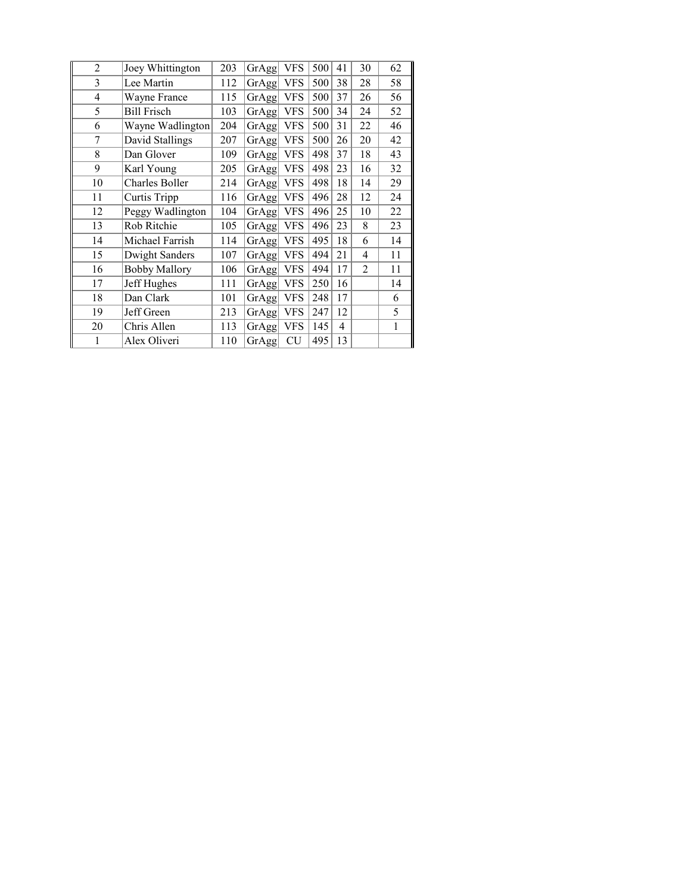| $\overline{2}$ | Joey Whittington     | 203 | GrAgg | <b>VFS</b> | 500 | 41 | 30             | 62 |
|----------------|----------------------|-----|-------|------------|-----|----|----------------|----|
| 3              | Lee Martin           | 112 | GrAgg | <b>VFS</b> | 500 | 38 | 28             | 58 |
| 4              | Wayne France         | 115 | GrAgg | <b>VFS</b> | 500 | 37 | 26             | 56 |
| 5              | <b>Bill Frisch</b>   | 103 | GrAgg | <b>VFS</b> | 500 | 34 | 24             | 52 |
| 6              | Wayne Wadlington     | 204 | GrAgg | <b>VFS</b> | 500 | 31 | 22             | 46 |
| 7              | David Stallings      | 207 | GrAgg | <b>VFS</b> | 500 | 26 | 20             | 42 |
| 8              | Dan Glover           | 109 | GrAgg | <b>VFS</b> | 498 | 37 | 18             | 43 |
| 9              | Karl Young           | 205 | GrAgg | <b>VFS</b> | 498 | 23 | 16             | 32 |
| 10             | Charles Boller       | 214 | GrAgg | <b>VFS</b> | 498 | 18 | 14             | 29 |
| 11             | Curtis Tripp         | 116 | GrAgg | <b>VFS</b> | 496 | 28 | 12             | 24 |
| 12             | Peggy Wadlington     | 104 | GrAgg | <b>VFS</b> | 496 | 25 | 10             | 22 |
| 13             | Rob Ritchie          | 105 | GrAgg | <b>VFS</b> | 496 | 23 | 8              | 23 |
| 14             | Michael Farrish      | 114 | GrAgg | <b>VFS</b> | 495 | 18 | 6              | 14 |
| 15             | Dwight Sanders       | 107 | GrAgg | VFS        | 494 | 21 | 4              | 11 |
| 16             | <b>Bobby Mallory</b> | 106 | GrAgg | <b>VFS</b> | 494 | 17 | $\overline{2}$ | 11 |
| 17             | Jeff Hughes          | 111 | GrAgg | <b>VFS</b> | 250 | 16 |                | 14 |
| 18             | Dan Clark            | 101 | GrAgg | <b>VFS</b> | 248 | 17 |                | 6  |
| 19             | Jeff Green           | 213 | GrAgg | <b>VFS</b> | 247 | 12 |                | 5  |
| 20             | Chris Allen          | 113 | GrAgg | <b>VFS</b> | 145 | 4  |                | 1  |
| 1              | Alex Oliveri         | 110 | GrAgg | <b>CU</b>  | 495 | 13 |                |    |